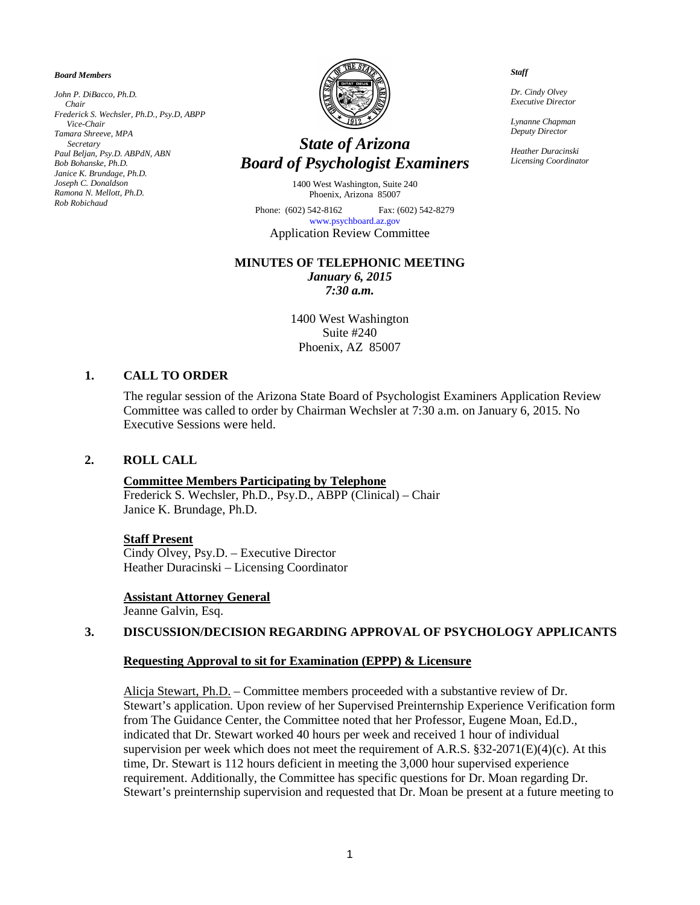*Board Members*

*John P. DiBacco, Ph.D. Chair Frederick S. Wechsler, Ph.D., Psy.D, ABPP Vice-Chair Tamara Shreeve, MPA Secretary Paul Beljan, Psy.D. ABPdN, ABN Bob Bohanske, Ph.D. Janice K. Brundage, Ph.D. Joseph C. Donaldson Ramona N. Mellott, Ph.D. Rob Robichaud*



# *State of Arizona Board of Psychologist Examiners*

1400 West Washington, Suite 240 Phoenix, Arizona 85007

Phone: (602) 542-8162 Fax: (602) 542-8279 [www.psychboard.az.gov](http://www.psychboard.az.gov/)  Application Review Committee

#### **MINUTES OF TELEPHONIC MEETING**

*January 6, 2015 7:30 a.m.*

1400 West Washington Suite #240 Phoenix, AZ 85007

## **1. CALL TO ORDER**

The regular session of the Arizona State Board of Psychologist Examiners Application Review Committee was called to order by Chairman Wechsler at 7:30 a.m. on January 6, 2015. No Executive Sessions were held.

### **2. ROLL CALL**

### **Committee Members Participating by Telephone**

Frederick S. Wechsler, Ph.D., Psy.D., ABPP (Clinical) – Chair Janice K. Brundage, Ph.D.

#### **Staff Present**

Cindy Olvey, Psy.D. – Executive Director Heather Duracinski – Licensing Coordinator

## **Assistant Attorney General**

Jeanne Galvin, Esq.

## **3. DISCUSSION/DECISION REGARDING APPROVAL OF PSYCHOLOGY APPLICANTS**

### **Requesting Approval to sit for Examination (EPPP) & Licensure**

Alicja Stewart, Ph.D. – Committee members proceeded with a substantive review of Dr. Stewart's application. Upon review of her Supervised Preinternship Experience Verification form from The Guidance Center, the Committee noted that her Professor, Eugene Moan, Ed.D., indicated that Dr. Stewart worked 40 hours per week and received 1 hour of individual supervision per week which does not meet the requirement of A.R.S.  $\S 32-2071(E)(4)(c)$ . At this time, Dr. Stewart is 112 hours deficient in meeting the 3,000 hour supervised experience requirement. Additionally, the Committee has specific questions for Dr. Moan regarding Dr. Stewart's preinternship supervision and requested that Dr. Moan be present at a future meeting to

 *Staff*

 *Dr. Cindy Olvey Executive Director*

 *Lynanne Chapman Deputy Director*

 *Heather Duracinski Licensing Coordinator*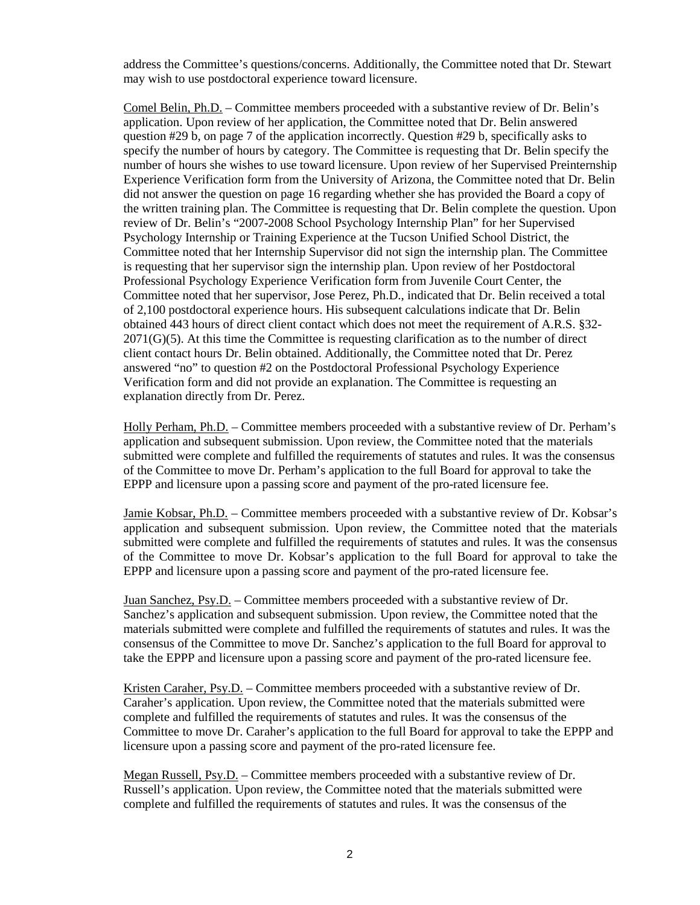address the Committee's questions/concerns. Additionally, the Committee noted that Dr. Stewart may wish to use postdoctoral experience toward licensure.

Comel Belin, Ph.D. – Committee members proceeded with a substantive review of Dr. Belin's application. Upon review of her application, the Committee noted that Dr. Belin answered question #29 b, on page 7 of the application incorrectly. Question #29 b, specifically asks to specify the number of hours by category. The Committee is requesting that Dr. Belin specify the number of hours she wishes to use toward licensure. Upon review of her Supervised Preinternship Experience Verification form from the University of Arizona, the Committee noted that Dr. Belin did not answer the question on page 16 regarding whether she has provided the Board a copy of the written training plan. The Committee is requesting that Dr. Belin complete the question. Upon review of Dr. Belin's "2007-2008 School Psychology Internship Plan" for her Supervised Psychology Internship or Training Experience at the Tucson Unified School District, the Committee noted that her Internship Supervisor did not sign the internship plan. The Committee is requesting that her supervisor sign the internship plan. Upon review of her Postdoctoral Professional Psychology Experience Verification form from Juvenile Court Center, the Committee noted that her supervisor, Jose Perez, Ph.D., indicated that Dr. Belin received a total of 2,100 postdoctoral experience hours. His subsequent calculations indicate that Dr. Belin obtained 443 hours of direct client contact which does not meet the requirement of A.R.S. §32- 2071(G)(5). At this time the Committee is requesting clarification as to the number of direct client contact hours Dr. Belin obtained. Additionally, the Committee noted that Dr. Perez answered "no" to question #2 on the Postdoctoral Professional Psychology Experience Verification form and did not provide an explanation. The Committee is requesting an explanation directly from Dr. Perez.

Holly Perham, Ph.D. – Committee members proceeded with a substantive review of Dr. Perham's application and subsequent submission. Upon review, the Committee noted that the materials submitted were complete and fulfilled the requirements of statutes and rules. It was the consensus of the Committee to move Dr. Perham's application to the full Board for approval to take the EPPP and licensure upon a passing score and payment of the pro-rated licensure fee.

Jamie Kobsar, Ph.D. – Committee members proceeded with a substantive review of Dr. Kobsar's application and subsequent submission. Upon review, the Committee noted that the materials submitted were complete and fulfilled the requirements of statutes and rules. It was the consensus of the Committee to move Dr. Kobsar's application to the full Board for approval to take the EPPP and licensure upon a passing score and payment of the pro-rated licensure fee.

Juan Sanchez, Psy.D. – Committee members proceeded with a substantive review of Dr. Sanchez's application and subsequent submission. Upon review, the Committee noted that the materials submitted were complete and fulfilled the requirements of statutes and rules. It was the consensus of the Committee to move Dr. Sanchez's application to the full Board for approval to take the EPPP and licensure upon a passing score and payment of the pro-rated licensure fee.

Kristen Caraher, Psy.D. – Committee members proceeded with a substantive review of Dr. Caraher's application. Upon review, the Committee noted that the materials submitted were complete and fulfilled the requirements of statutes and rules. It was the consensus of the Committee to move Dr. Caraher's application to the full Board for approval to take the EPPP and licensure upon a passing score and payment of the pro-rated licensure fee.

Megan Russell, Psy.D. – Committee members proceeded with a substantive review of Dr. Russell's application. Upon review, the Committee noted that the materials submitted were complete and fulfilled the requirements of statutes and rules. It was the consensus of the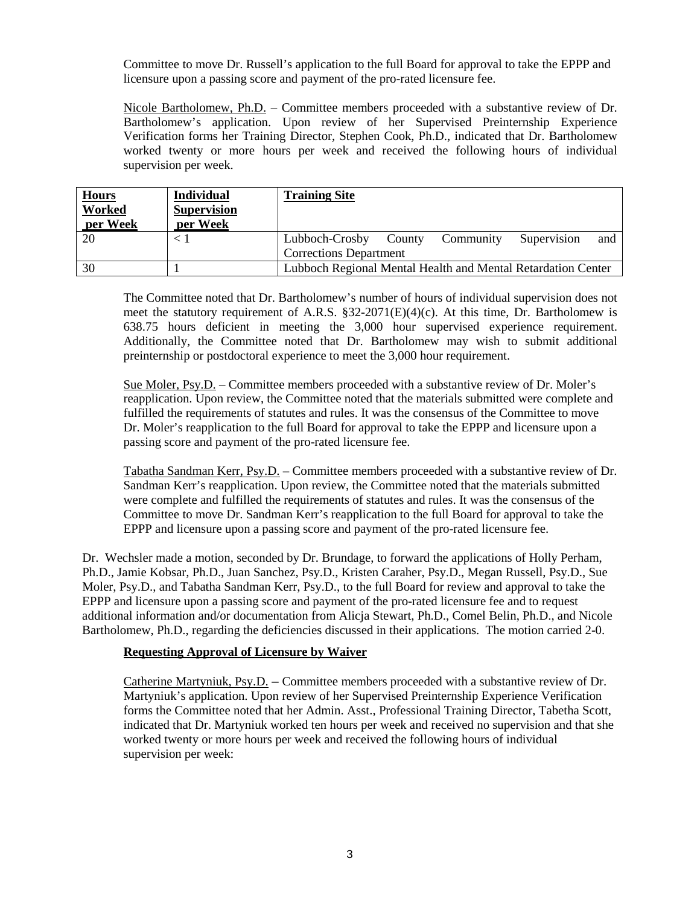Committee to move Dr. Russell's application to the full Board for approval to take the EPPP and licensure upon a passing score and payment of the pro-rated licensure fee.

Nicole Bartholomew, Ph.D. – Committee members proceeded with a substantive review of Dr. Bartholomew's application. Upon review of her Supervised Preinternship Experience Verification forms her Training Director, Stephen Cook, Ph.D., indicated that Dr. Bartholomew worked twenty or more hours per week and received the following hours of individual supervision per week.

| <b>Hours</b><br>Worked<br>per Week | <b>Individual</b><br><b>Supervision</b><br>per Week | <b>Training Site</b>                                         |
|------------------------------------|-----------------------------------------------------|--------------------------------------------------------------|
| 20                                 | $<\,$ 1                                             | Supervision<br>Lubboch-Crosby<br>County<br>Community<br>and  |
|                                    |                                                     | <b>Corrections Department</b>                                |
| 30                                 |                                                     | Lubboch Regional Mental Health and Mental Retardation Center |

The Committee noted that Dr. Bartholomew's number of hours of individual supervision does not meet the statutory requirement of A.R.S.  $\S 32-2071(E)(4)(c)$ . At this time, Dr. Bartholomew is 638.75 hours deficient in meeting the 3,000 hour supervised experience requirement. Additionally, the Committee noted that Dr. Bartholomew may wish to submit additional preinternship or postdoctoral experience to meet the 3,000 hour requirement.

Sue Moler, Psy.D. – Committee members proceeded with a substantive review of Dr. Moler's reapplication. Upon review, the Committee noted that the materials submitted were complete and fulfilled the requirements of statutes and rules. It was the consensus of the Committee to move Dr. Moler's reapplication to the full Board for approval to take the EPPP and licensure upon a passing score and payment of the pro-rated licensure fee.

Tabatha Sandman Kerr, Psy.D. – Committee members proceeded with a substantive review of Dr. Sandman Kerr's reapplication. Upon review, the Committee noted that the materials submitted were complete and fulfilled the requirements of statutes and rules. It was the consensus of the Committee to move Dr. Sandman Kerr's reapplication to the full Board for approval to take the EPPP and licensure upon a passing score and payment of the pro-rated licensure fee.

Dr. Wechsler made a motion, seconded by Dr. Brundage, to forward the applications of Holly Perham, Ph.D., Jamie Kobsar, Ph.D., Juan Sanchez, Psy.D., Kristen Caraher, Psy.D., Megan Russell, Psy.D., Sue Moler, Psy.D., and Tabatha Sandman Kerr, Psy.D., to the full Board for review and approval to take the EPPP and licensure upon a passing score and payment of the pro-rated licensure fee and to request additional information and/or documentation from Alicja Stewart, Ph.D., Comel Belin, Ph.D., and Nicole Bartholomew, Ph.D., regarding the deficiencies discussed in their applications. The motion carried 2-0.

## **Requesting Approval of Licensure by Waiver**

Catherine Martyniuk, Psy.D. **–** Committee members proceeded with a substantive review of Dr. Martyniuk's application. Upon review of her Supervised Preinternship Experience Verification forms the Committee noted that her Admin. Asst., Professional Training Director, Tabetha Scott, indicated that Dr. Martyniuk worked ten hours per week and received no supervision and that she worked twenty or more hours per week and received the following hours of individual supervision per week: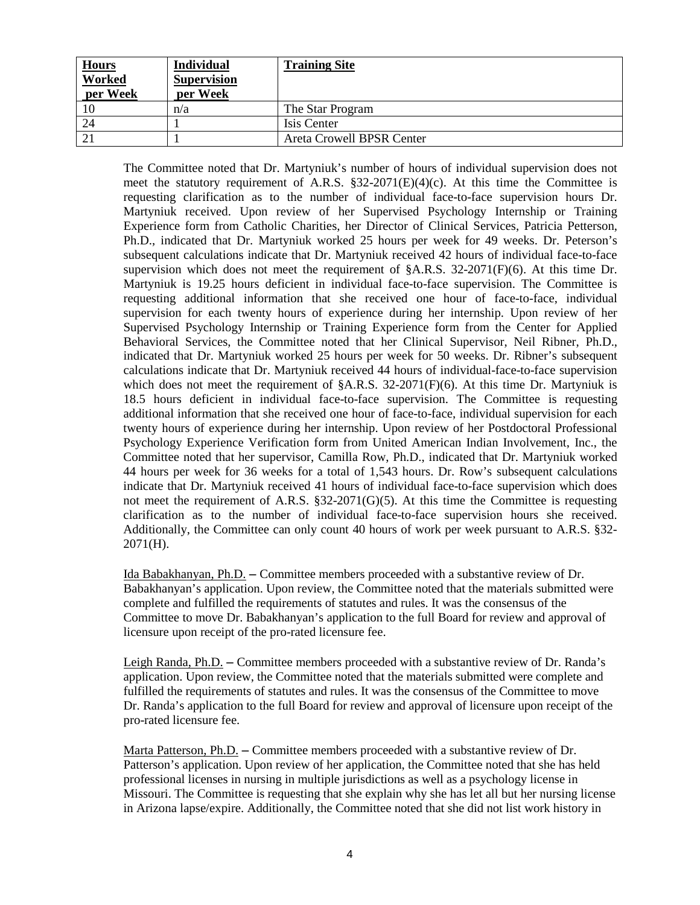| <b>Hours</b><br>Worked<br>per Week | <b>Individual</b><br><b>Supervision</b><br>per Week | <b>Training Site</b>      |
|------------------------------------|-----------------------------------------------------|---------------------------|
| 10                                 | n/a                                                 | The Star Program          |
| 24                                 |                                                     | Isis Center               |
| 21                                 |                                                     | Areta Crowell BPSR Center |

The Committee noted that Dr. Martyniuk's number of hours of individual supervision does not meet the statutory requirement of A.R.S. §32-2071(E)(4)(c). At this time the Committee is requesting clarification as to the number of individual face-to-face supervision hours Dr. Martyniuk received. Upon review of her Supervised Psychology Internship or Training Experience form from Catholic Charities, her Director of Clinical Services, Patricia Petterson, Ph.D., indicated that Dr. Martyniuk worked 25 hours per week for 49 weeks. Dr. Peterson's subsequent calculations indicate that Dr. Martyniuk received 42 hours of individual face-to-face supervision which does not meet the requirement of  $\&$ A.R.S. 32-2071(F)(6). At this time Dr. Martyniuk is 19.25 hours deficient in individual face-to-face supervision. The Committee is requesting additional information that she received one hour of face-to-face, individual supervision for each twenty hours of experience during her internship. Upon review of her Supervised Psychology Internship or Training Experience form from the Center for Applied Behavioral Services, the Committee noted that her Clinical Supervisor, Neil Ribner, Ph.D., indicated that Dr. Martyniuk worked 25 hours per week for 50 weeks. Dr. Ribner's subsequent calculations indicate that Dr. Martyniuk received 44 hours of individual-face-to-face supervision which does not meet the requirement of  $\&$ A.R.S. 32-2071(F)(6). At this time Dr. Martyniuk is 18.5 hours deficient in individual face-to-face supervision. The Committee is requesting additional information that she received one hour of face-to-face, individual supervision for each twenty hours of experience during her internship. Upon review of her Postdoctoral Professional Psychology Experience Verification form from United American Indian Involvement, Inc., the Committee noted that her supervisor, Camilla Row, Ph.D., indicated that Dr. Martyniuk worked 44 hours per week for 36 weeks for a total of 1,543 hours. Dr. Row's subsequent calculations indicate that Dr. Martyniuk received 41 hours of individual face-to-face supervision which does not meet the requirement of A.R.S. §32-2071(G)(5). At this time the Committee is requesting clarification as to the number of individual face-to-face supervision hours she received. Additionally, the Committee can only count 40 hours of work per week pursuant to A.R.S. §32- 2071(H).

Ida Babakhanyan, Ph.D. **–** Committee members proceeded with a substantive review of Dr. Babakhanyan's application. Upon review, the Committee noted that the materials submitted were complete and fulfilled the requirements of statutes and rules. It was the consensus of the Committee to move Dr. Babakhanyan's application to the full Board for review and approval of licensure upon receipt of the pro-rated licensure fee.

Leigh Randa, Ph.D. **–** Committee members proceeded with a substantive review of Dr. Randa's application. Upon review, the Committee noted that the materials submitted were complete and fulfilled the requirements of statutes and rules. It was the consensus of the Committee to move Dr. Randa's application to the full Board for review and approval of licensure upon receipt of the pro-rated licensure fee.

Marta Patterson, Ph.D. **–** Committee members proceeded with a substantive review of Dr. Patterson's application. Upon review of her application, the Committee noted that she has held professional licenses in nursing in multiple jurisdictions as well as a psychology license in Missouri. The Committee is requesting that she explain why she has let all but her nursing license in Arizona lapse/expire. Additionally, the Committee noted that she did not list work history in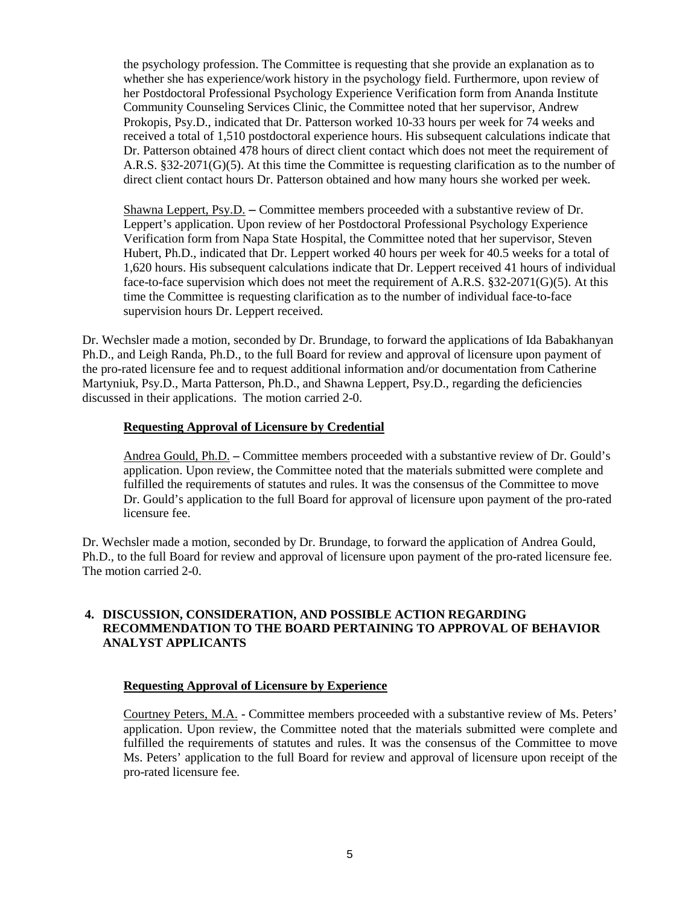the psychology profession. The Committee is requesting that she provide an explanation as to whether she has experience/work history in the psychology field. Furthermore, upon review of her Postdoctoral Professional Psychology Experience Verification form from Ananda Institute Community Counseling Services Clinic, the Committee noted that her supervisor, Andrew Prokopis, Psy.D., indicated that Dr. Patterson worked 10-33 hours per week for 74 weeks and received a total of 1,510 postdoctoral experience hours. His subsequent calculations indicate that Dr. Patterson obtained 478 hours of direct client contact which does not meet the requirement of A.R.S. §32-2071(G)(5). At this time the Committee is requesting clarification as to the number of direct client contact hours Dr. Patterson obtained and how many hours she worked per week.

Shawna Leppert, Psy.D. **–** Committee members proceeded with a substantive review of Dr. Leppert's application. Upon review of her Postdoctoral Professional Psychology Experience Verification form from Napa State Hospital, the Committee noted that her supervisor, Steven Hubert, Ph.D., indicated that Dr. Leppert worked 40 hours per week for 40.5 weeks for a total of 1,620 hours. His subsequent calculations indicate that Dr. Leppert received 41 hours of individual face-to-face supervision which does not meet the requirement of A.R.S. §32-2071(G)(5). At this time the Committee is requesting clarification as to the number of individual face-to-face supervision hours Dr. Leppert received.

Dr. Wechsler made a motion, seconded by Dr. Brundage, to forward the applications of Ida Babakhanyan Ph.D., and Leigh Randa, Ph.D., to the full Board for review and approval of licensure upon payment of the pro-rated licensure fee and to request additional information and/or documentation from Catherine Martyniuk, Psy.D., Marta Patterson, Ph.D., and Shawna Leppert, Psy.D., regarding the deficiencies discussed in their applications. The motion carried 2-0.

## **Requesting Approval of Licensure by Credential**

Andrea Gould, Ph.D. **–** Committee members proceeded with a substantive review of Dr. Gould's application. Upon review, the Committee noted that the materials submitted were complete and fulfilled the requirements of statutes and rules. It was the consensus of the Committee to move Dr. Gould's application to the full Board for approval of licensure upon payment of the pro-rated licensure fee.

Dr. Wechsler made a motion, seconded by Dr. Brundage, to forward the application of Andrea Gould, Ph.D., to the full Board for review and approval of licensure upon payment of the pro-rated licensure fee. The motion carried 2-0.

## **4. DISCUSSION, CONSIDERATION, AND POSSIBLE ACTION REGARDING RECOMMENDATION TO THE BOARD PERTAINING TO APPROVAL OF BEHAVIOR ANALYST APPLICANTS**

### **Requesting Approval of Licensure by Experience**

Courtney Peters, M.A. - Committee members proceeded with a substantive review of Ms. Peters' application. Upon review, the Committee noted that the materials submitted were complete and fulfilled the requirements of statutes and rules. It was the consensus of the Committee to move Ms. Peters' application to the full Board for review and approval of licensure upon receipt of the pro-rated licensure fee.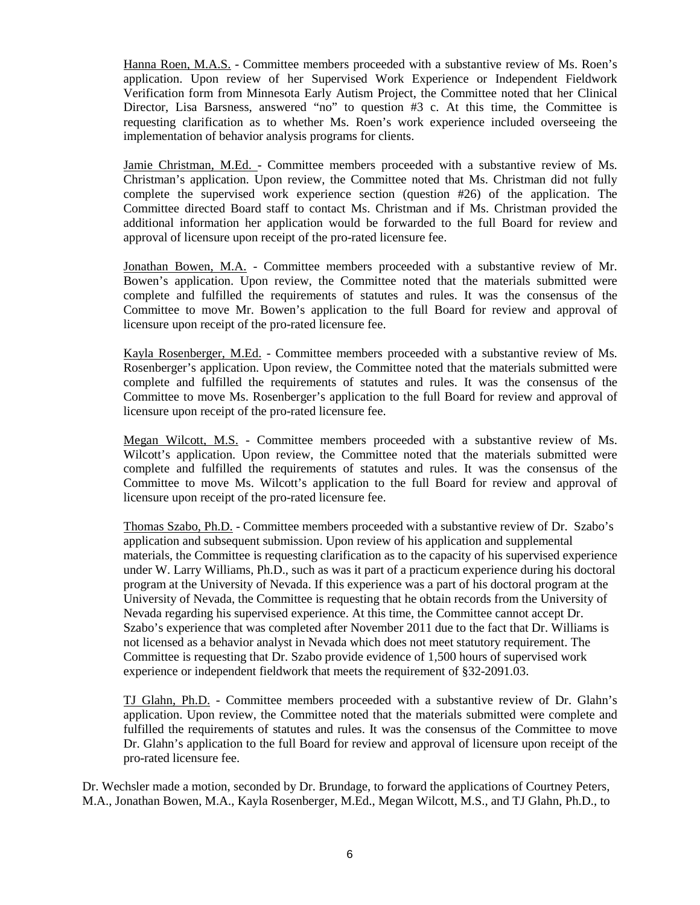Hanna Roen, M.A.S. - Committee members proceeded with a substantive review of Ms. Roen's application. Upon review of her Supervised Work Experience or Independent Fieldwork Verification form from Minnesota Early Autism Project, the Committee noted that her Clinical Director, Lisa Barsness, answered "no" to question #3 c. At this time, the Committee is requesting clarification as to whether Ms. Roen's work experience included overseeing the implementation of behavior analysis programs for clients.

Jamie Christman, M.Ed. - Committee members proceeded with a substantive review of Ms. Christman's application. Upon review, the Committee noted that Ms. Christman did not fully complete the supervised work experience section (question #26) of the application. The Committee directed Board staff to contact Ms. Christman and if Ms. Christman provided the additional information her application would be forwarded to the full Board for review and approval of licensure upon receipt of the pro-rated licensure fee.

Jonathan Bowen, M.A. - Committee members proceeded with a substantive review of Mr. Bowen's application. Upon review, the Committee noted that the materials submitted were complete and fulfilled the requirements of statutes and rules. It was the consensus of the Committee to move Mr. Bowen's application to the full Board for review and approval of licensure upon receipt of the pro-rated licensure fee.

Kayla Rosenberger, M.Ed. - Committee members proceeded with a substantive review of Ms. Rosenberger's application. Upon review, the Committee noted that the materials submitted were complete and fulfilled the requirements of statutes and rules. It was the consensus of the Committee to move Ms. Rosenberger's application to the full Board for review and approval of licensure upon receipt of the pro-rated licensure fee.

Megan Wilcott, M.S. - Committee members proceeded with a substantive review of Ms. Wilcott's application. Upon review, the Committee noted that the materials submitted were complete and fulfilled the requirements of statutes and rules. It was the consensus of the Committee to move Ms. Wilcott's application to the full Board for review and approval of licensure upon receipt of the pro-rated licensure fee.

Thomas Szabo, Ph.D. - Committee members proceeded with a substantive review of Dr. Szabo's application and subsequent submission. Upon review of his application and supplemental materials, the Committee is requesting clarification as to the capacity of his supervised experience under W. Larry Williams, Ph.D., such as was it part of a practicum experience during his doctoral program at the University of Nevada. If this experience was a part of his doctoral program at the University of Nevada, the Committee is requesting that he obtain records from the University of Nevada regarding his supervised experience. At this time, the Committee cannot accept Dr. Szabo's experience that was completed after November 2011 due to the fact that Dr. Williams is not licensed as a behavior analyst in Nevada which does not meet statutory requirement. The Committee is requesting that Dr. Szabo provide evidence of 1,500 hours of supervised work experience or independent fieldwork that meets the requirement of §32-2091.03.

TJ Glahn, Ph.D. - Committee members proceeded with a substantive review of Dr. Glahn's application. Upon review, the Committee noted that the materials submitted were complete and fulfilled the requirements of statutes and rules. It was the consensus of the Committee to move Dr. Glahn's application to the full Board for review and approval of licensure upon receipt of the pro-rated licensure fee.

Dr. Wechsler made a motion, seconded by Dr. Brundage, to forward the applications of Courtney Peters, M.A., Jonathan Bowen, M.A., Kayla Rosenberger, M.Ed., Megan Wilcott, M.S., and TJ Glahn, Ph.D., to